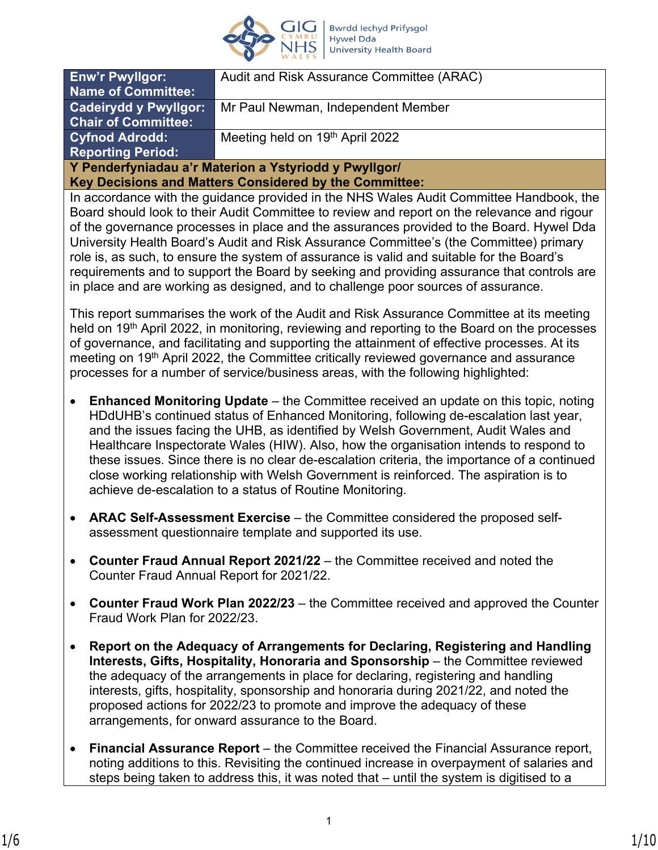

| <b>Enw'r Pwyllgor:</b>                                 | Audit and Risk Assurance Committee (ARAC) |  |
|--------------------------------------------------------|-------------------------------------------|--|
| <b>Name of Committee:</b>                              |                                           |  |
| <b>Cadeirydd y Pwyllgor:</b>                           | Mr Paul Newman, Independent Member        |  |
| <b>Chair of Committee:</b>                             |                                           |  |
| <b>Cyfnod Adrodd:</b>                                  | Meeting held on 19th April 2022           |  |
| <b>Reporting Period:</b>                               |                                           |  |
| Y Penderfyniadau a'r Materion a Ystyriodd y Pwyllgor/  |                                           |  |
| Key Decisions and Matters Considered by the Committee: |                                           |  |

In accordance with the guidance provided in the NHS Wales Audit Committee Handbook, the Board should look to their Audit Committee to review and report on the relevance and rigour of the governance processes in place and the assurances provided to the Board. Hywel Dda University Health Board's Audit and Risk Assurance Committee's (the Committee) primary role is, as such, to ensure the system of assurance is valid and suitable for the Board's requirements and to support the Board by seeking and providing assurance that controls are in place and are working as designed, and to challenge poor sources of assurance.

This report summarises the work of the Audit and Risk Assurance Committee at its meeting held on 19<sup>th</sup> April 2022, in monitoring, reviewing and reporting to the Board on the processes of governance, and facilitating and supporting the attainment of effective processes. At its meeting on 19<sup>th</sup> April 2022, the Committee critically reviewed governance and assurance processes for a number of service/business areas, with the following highlighted:

- **Enhanced Monitoring Update**  the Committee received an update on this topic, noting HDdUHB's continued status of Enhanced Monitoring, following de-escalation last year, and the issues facing the UHB, as identified by Welsh Government, Audit Wales and Healthcare Inspectorate Wales (HIW). Also, how the organisation intends to respond to these issues. Since there is no clear de-escalation criteria, the importance of a continued close working relationship with Welsh Government is reinforced. The aspiration is to achieve de-escalation to a status of Routine Monitoring.
- **ARAC Self-Assessment Exercise** the Committee considered the proposed selfassessment questionnaire template and supported its use.
- **Counter Fraud Annual Report 2021/22** the Committee received and noted the Counter Fraud Annual Report for 2021/22.
- **Counter Fraud Work Plan 2022/23** the Committee received and approved the Counter Fraud Work Plan for 2022/23.
- **Report on the Adequacy of Arrangements for Declaring, Registering and Handling Interests, Gifts, Hospitality, Honoraria and Sponsorship** – the Committee reviewed the adequacy of the arrangements in place for declaring, registering and handling interests, gifts, hospitality, sponsorship and honoraria during 2021/22, and noted the proposed actions for 2022/23 to promote and improve the adequacy of these arrangements, for onward assurance to the Board.
- **Financial Assurance Report** the Committee received the Financial Assurance report, noting additions to this. Revisiting the continued increase in overpayment of salaries and steps being taken to address this, it was noted that – until the system is digitised to a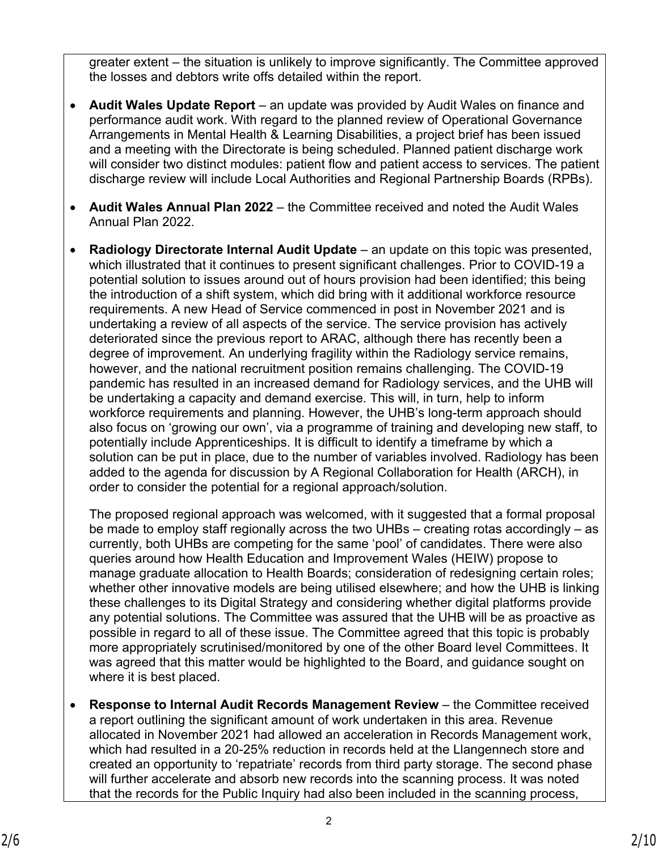greater extent – the situation is unlikely to improve significantly. The Committee approved the losses and debtors write offs detailed within the report.

- **Audit Wales Update Report** an update was provided by Audit Wales on finance and performance audit work. With regard to the planned review of Operational Governance Arrangements in Mental Health & Learning Disabilities, a project brief has been issued and a meeting with the Directorate is being scheduled. Planned patient discharge work will consider two distinct modules: patient flow and patient access to services. The patient discharge review will include Local Authorities and Regional Partnership Boards (RPBs).
- **Audit Wales Annual Plan 2022**  the Committee received and noted the Audit Wales Annual Plan 2022.
- **Radiology Directorate Internal Audit Update** an update on this topic was presented, which illustrated that it continues to present significant challenges. Prior to COVID-19 a potential solution to issues around out of hours provision had been identified; this being the introduction of a shift system, which did bring with it additional workforce resource requirements. A new Head of Service commenced in post in November 2021 and is undertaking a review of all aspects of the service. The service provision has actively deteriorated since the previous report to ARAC, although there has recently been a degree of improvement. An underlying fragility within the Radiology service remains, however, and the national recruitment position remains challenging. The COVID-19 pandemic has resulted in an increased demand for Radiology services, and the UHB will be undertaking a capacity and demand exercise. This will, in turn, help to inform workforce requirements and planning. However, the UHB's long-term approach should also focus on 'growing our own', via a programme of training and developing new staff, to potentially include Apprenticeships. It is difficult to identify a timeframe by which a solution can be put in place, due to the number of variables involved. Radiology has been added to the agenda for discussion by A Regional Collaboration for Health (ARCH), in order to consider the potential for a regional approach/solution.

The proposed regional approach was welcomed, with it suggested that a formal proposal be made to employ staff regionally across the two UHBs – creating rotas accordingly – as currently, both UHBs are competing for the same 'pool' of candidates. There were also queries around how Health Education and Improvement Wales (HEIW) propose to manage graduate allocation to Health Boards; consideration of redesigning certain roles; whether other innovative models are being utilised elsewhere; and how the UHB is linking these challenges to its Digital Strategy and considering whether digital platforms provide any potential solutions. The Committee was assured that the UHB will be as proactive as possible in regard to all of these issue. The Committee agreed that this topic is probably more appropriately scrutinised/monitored by one of the other Board level Committees. It was agreed that this matter would be highlighted to the Board, and guidance sought on where it is best placed.

• **Response to Internal Audit Records Management Review** – the Committee received a report outlining the significant amount of work undertaken in this area. Revenue allocated in November 2021 had allowed an acceleration in Records Management work, which had resulted in a 20-25% reduction in records held at the Llangennech store and created an opportunity to 'repatriate' records from third party storage. The second phase will further accelerate and absorb new records into the scanning process. It was noted that the records for the Public Inquiry had also been included in the scanning process,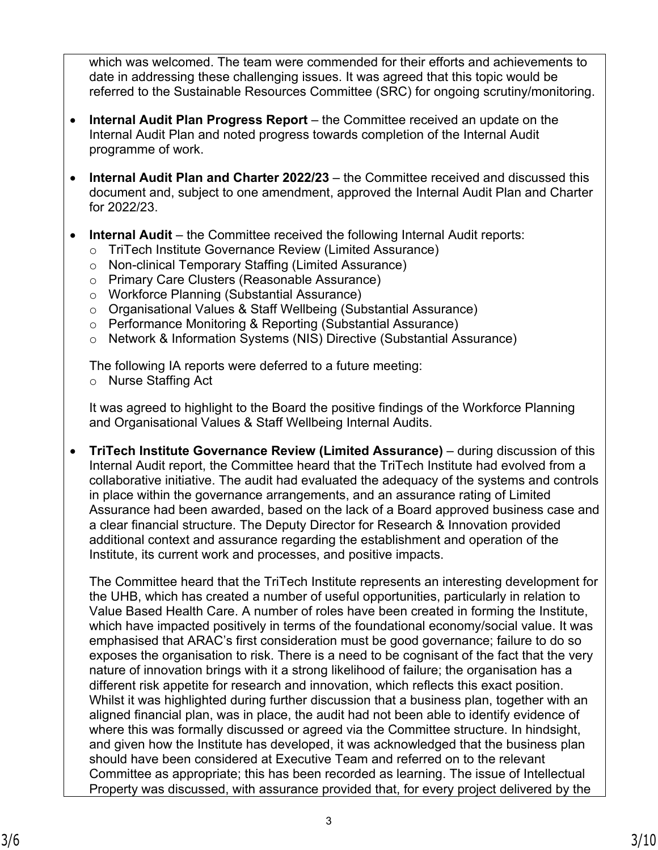which was welcomed. The team were commended for their efforts and achievements to date in addressing these challenging issues. It was agreed that this topic would be referred to the Sustainable Resources Committee (SRC) for ongoing scrutiny/monitoring.

- **Internal Audit Plan Progress Report** the Committee received an update on the Internal Audit Plan and noted progress towards completion of the Internal Audit programme of work.
- **Internal Audit Plan and Charter 2022/23** the Committee received and discussed this document and, subject to one amendment, approved the Internal Audit Plan and Charter for 2022/23.
- **Internal Audit** the Committee received the following Internal Audit reports:
	- o TriTech Institute Governance Review (Limited Assurance)
	- o Non-clinical Temporary Staffing (Limited Assurance)
	- o Primary Care Clusters (Reasonable Assurance)
	- o Workforce Planning (Substantial Assurance)
	- o Organisational Values & Staff Wellbeing (Substantial Assurance)
	- o Performance Monitoring & Reporting (Substantial Assurance)
	- o Network & Information Systems (NIS) Directive (Substantial Assurance)

The following IA reports were deferred to a future meeting:

o Nurse Staffing Act

It was agreed to highlight to the Board the positive findings of the Workforce Planning and Organisational Values & Staff Wellbeing Internal Audits.

• **TriTech Institute Governance Review (Limited Assurance)** – during discussion of this Internal Audit report, the Committee heard that the TriTech Institute had evolved from a collaborative initiative. The audit had evaluated the adequacy of the systems and controls in place within the governance arrangements, and an assurance rating of Limited Assurance had been awarded, based on the lack of a Board approved business case and a clear financial structure. The Deputy Director for Research & Innovation provided additional context and assurance regarding the establishment and operation of the Institute, its current work and processes, and positive impacts.

The Committee heard that the TriTech Institute represents an interesting development for the UHB, which has created a number of useful opportunities, particularly in relation to Value Based Health Care. A number of roles have been created in forming the Institute, which have impacted positively in terms of the foundational economy/social value. It was emphasised that ARAC's first consideration must be good governance; failure to do so exposes the organisation to risk. There is a need to be cognisant of the fact that the very nature of innovation brings with it a strong likelihood of failure; the organisation has a different risk appetite for research and innovation, which reflects this exact position. Whilst it was highlighted during further discussion that a business plan, together with an aligned financial plan, was in place, the audit had not been able to identify evidence of where this was formally discussed or agreed via the Committee structure. In hindsight, and given how the Institute has developed, it was acknowledged that the business plan should have been considered at Executive Team and referred on to the relevant Committee as appropriate; this has been recorded as learning. The issue of Intellectual Property was discussed, with assurance provided that, for every project delivered by the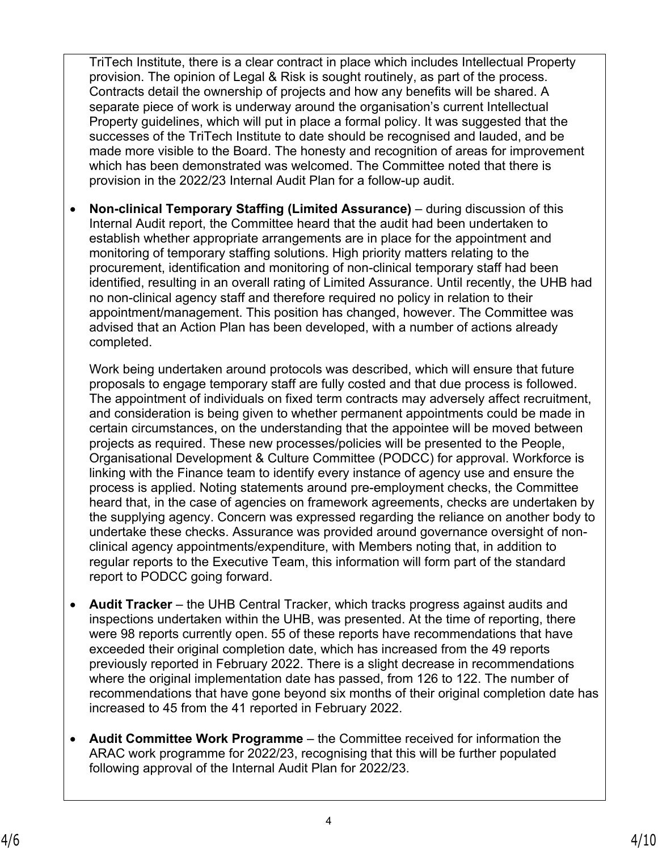TriTech Institute, there is a clear contract in place which includes Intellectual Property provision. The opinion of Legal & Risk is sought routinely, as part of the process. Contracts detail the ownership of projects and how any benefits will be shared. A separate piece of work is underway around the organisation's current Intellectual Property guidelines, which will put in place a formal policy. It was suggested that the successes of the TriTech Institute to date should be recognised and lauded, and be made more visible to the Board. The honesty and recognition of areas for improvement which has been demonstrated was welcomed. The Committee noted that there is provision in the 2022/23 Internal Audit Plan for a follow-up audit.

• **Non-clinical Temporary Staffing (Limited Assurance)** – during discussion of this Internal Audit report, the Committee heard that the audit had been undertaken to establish whether appropriate arrangements are in place for the appointment and monitoring of temporary staffing solutions. High priority matters relating to the procurement, identification and monitoring of non-clinical temporary staff had been identified, resulting in an overall rating of Limited Assurance. Until recently, the UHB had no non-clinical agency staff and therefore required no policy in relation to their appointment/management. This position has changed, however. The Committee was advised that an Action Plan has been developed, with a number of actions already completed.

Work being undertaken around protocols was described, which will ensure that future proposals to engage temporary staff are fully costed and that due process is followed. The appointment of individuals on fixed term contracts may adversely affect recruitment, and consideration is being given to whether permanent appointments could be made in certain circumstances, on the understanding that the appointee will be moved between projects as required. These new processes/policies will be presented to the People, Organisational Development & Culture Committee (PODCC) for approval. Workforce is linking with the Finance team to identify every instance of agency use and ensure the process is applied. Noting statements around pre-employment checks, the Committee heard that, in the case of agencies on framework agreements, checks are undertaken by the supplying agency. Concern was expressed regarding the reliance on another body to undertake these checks. Assurance was provided around governance oversight of nonclinical agency appointments/expenditure, with Members noting that, in addition to regular reports to the Executive Team, this information will form part of the standard report to PODCC going forward.

- **Audit Tracker** the UHB Central Tracker, which tracks progress against audits and inspections undertaken within the UHB, was presented. At the time of reporting, there were 98 reports currently open. 55 of these reports have recommendations that have exceeded their original completion date, which has increased from the 49 reports previously reported in February 2022. There is a slight decrease in recommendations where the original implementation date has passed, from 126 to 122. The number of recommendations that have gone beyond six months of their original completion date has increased to 45 from the 41 reported in February 2022.
- **Audit Committee Work Programme** the Committee received for information the ARAC work programme for 2022/23, recognising that this will be further populated following approval of the Internal Audit Plan for 2022/23.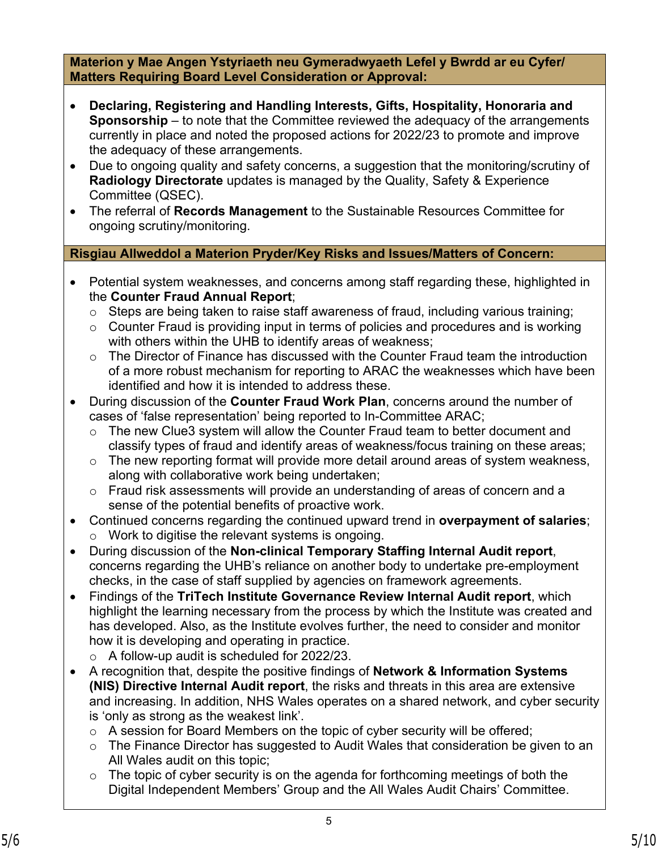**Materion y Mae Angen Ystyriaeth neu Gymeradwyaeth Lefel y Bwrdd ar eu Cyfer/ Matters Requiring Board Level Consideration or Approval:**

- **Declaring, Registering and Handling Interests, Gifts, Hospitality, Honoraria and Sponsorship** – to note that the Committee reviewed the adequacy of the arrangements currently in place and noted the proposed actions for 2022/23 to promote and improve the adequacy of these arrangements.
- Due to ongoing quality and safety concerns, a suggestion that the monitoring/scrutiny of **Radiology Directorate** updates is managed by the Quality, Safety & Experience Committee (QSEC).
- The referral of **Records Management** to the Sustainable Resources Committee for ongoing scrutiny/monitoring.

## **Risgiau Allweddol a Materion Pryder/Key Risks and Issues/Matters of Concern:**

- Potential system weaknesses, and concerns among staff regarding these, highlighted in the **Counter Fraud Annual Report**;
	- $\circ$  Steps are being taken to raise staff awareness of fraud, including various training;
	- $\circ$  Counter Fraud is providing input in terms of policies and procedures and is working with others within the UHB to identify areas of weakness;
	- o The Director of Finance has discussed with the Counter Fraud team the introduction of a more robust mechanism for reporting to ARAC the weaknesses which have been identified and how it is intended to address these.
- During discussion of the **Counter Fraud Work Plan**, concerns around the number of cases of 'false representation' being reported to In-Committee ARAC;
	- o The new Clue3 system will allow the Counter Fraud team to better document and classify types of fraud and identify areas of weakness/focus training on these areas;
	- $\circ$  The new reporting format will provide more detail around areas of system weakness, along with collaborative work being undertaken;
	- o Fraud risk assessments will provide an understanding of areas of concern and a sense of the potential benefits of proactive work.
- Continued concerns regarding the continued upward trend in **overpayment of salaries**; o Work to digitise the relevant systems is ongoing.
- During discussion of the **Non-clinical Temporary Staffing Internal Audit report**, concerns regarding the UHB's reliance on another body to undertake pre-employment checks, in the case of staff supplied by agencies on framework agreements.
- Findings of the **TriTech Institute Governance Review Internal Audit report**, which highlight the learning necessary from the process by which the Institute was created and has developed. Also, as the Institute evolves further, the need to consider and monitor how it is developing and operating in practice.
	- o A follow-up audit is scheduled for 2022/23.
- A recognition that, despite the positive findings of **Network & Information Systems (NIS) Directive Internal Audit report**, the risks and threats in this area are extensive and increasing. In addition, NHS Wales operates on a shared network, and cyber security is 'only as strong as the weakest link'.
	- $\circ$  A session for Board Members on the topic of cyber security will be offered;
	- $\circ$  The Finance Director has suggested to Audit Wales that consideration be given to an All Wales audit on this topic;
	- $\circ$  The topic of cyber security is on the agenda for forthcoming meetings of both the Digital Independent Members' Group and the All Wales Audit Chairs' Committee.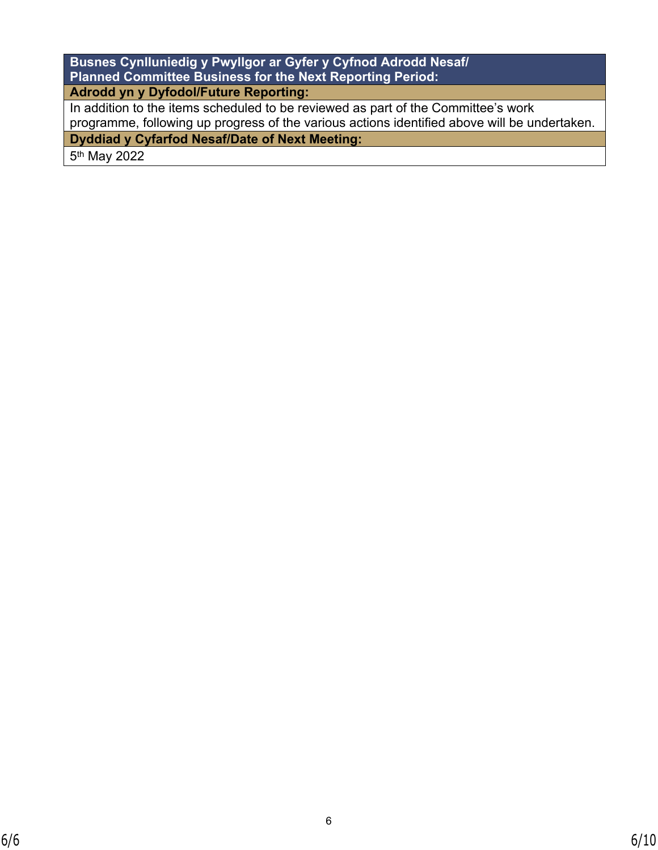| Busnes Cynlluniedig y Pwyllgor ar Gyfer y Cyfnod Adrodd Nesaf/                               |  |  |
|----------------------------------------------------------------------------------------------|--|--|
| <b>Planned Committee Business for the Next Reporting Period:</b>                             |  |  |
| Adrodd yn y Dyfodol/Future Reporting:                                                        |  |  |
| In addition to the items scheduled to be reviewed as part of the Committee's work            |  |  |
| programme, following up progress of the various actions identified above will be undertaken. |  |  |
| <b>Dyddiad y Cyfarfod Nesaf/Date of Next Meeting:</b>                                        |  |  |

5<sup>th</sup> May 2022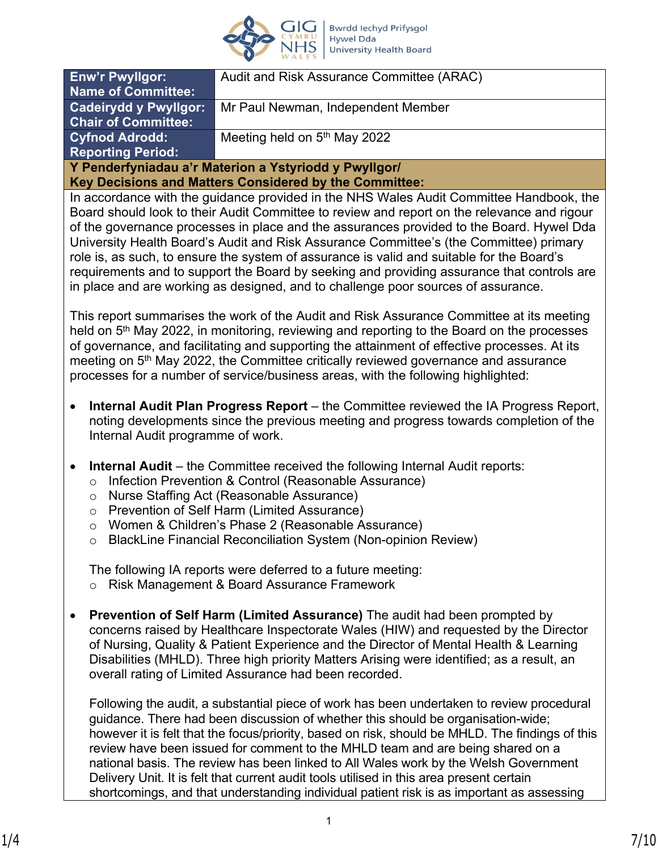

| <b>Enw'r Pwyllgor:</b>                                 | Audit and Risk Assurance Committee (ARAC) |  |
|--------------------------------------------------------|-------------------------------------------|--|
| <b>Name of Committee:</b>                              |                                           |  |
| <b>Cadeirydd y Pwyllgor:</b>                           | Mr Paul Newman, Independent Member        |  |
| <b>Chair of Committee:</b>                             |                                           |  |
| <b>Cyfnod Adrodd:</b>                                  | Meeting held on 5 <sup>th</sup> May 2022  |  |
| <b>Reporting Period:</b>                               |                                           |  |
| Y Penderfyniadau a'r Materion a Ystyriodd y Pwyllgor/  |                                           |  |
| Key Decisions and Matters Considered by the Committee: |                                           |  |

In accordance with the guidance provided in the NHS Wales Audit Committee Handbook, the Board should look to their Audit Committee to review and report on the relevance and rigour of the governance processes in place and the assurances provided to the Board. Hywel Dda University Health Board's Audit and Risk Assurance Committee's (the Committee) primary role is, as such, to ensure the system of assurance is valid and suitable for the Board's requirements and to support the Board by seeking and providing assurance that controls are in place and are working as designed, and to challenge poor sources of assurance.

This report summarises the work of the Audit and Risk Assurance Committee at its meeting held on 5<sup>th</sup> May 2022, in monitoring, reviewing and reporting to the Board on the processes of governance, and facilitating and supporting the attainment of effective processes. At its meeting on 5<sup>th</sup> May 2022, the Committee critically reviewed governance and assurance processes for a number of service/business areas, with the following highlighted:

- **Internal Audit Plan Progress Report** the Committee reviewed the IA Progress Report, noting developments since the previous meeting and progress towards completion of the Internal Audit programme of work.
- **Internal Audit** the Committee received the following Internal Audit reports:
	- o Infection Prevention & Control (Reasonable Assurance)
	- o Nurse Staffing Act (Reasonable Assurance)
	- o Prevention of Self Harm (Limited Assurance)
	- o Women & Children's Phase 2 (Reasonable Assurance)
	- o BlackLine Financial Reconciliation System (Non-opinion Review)

The following IA reports were deferred to a future meeting:

- o Risk Management & Board Assurance Framework
- **Prevention of Self Harm (Limited Assurance)** The audit had been prompted by concerns raised by Healthcare Inspectorate Wales (HIW) and requested by the Director of Nursing, Quality & Patient Experience and the Director of Mental Health & Learning Disabilities (MHLD). Three high priority Matters Arising were identified; as a result, an overall rating of Limited Assurance had been recorded.

Following the audit, a substantial piece of work has been undertaken to review procedural guidance. There had been discussion of whether this should be organisation-wide; however it is felt that the focus/priority, based on risk, should be MHLD. The findings of this review have been issued for comment to the MHLD team and are being shared on a national basis. The review has been linked to All Wales work by the Welsh Government Delivery Unit. It is felt that current audit tools utilised in this area present certain shortcomings, and that understanding individual patient risk is as important as assessing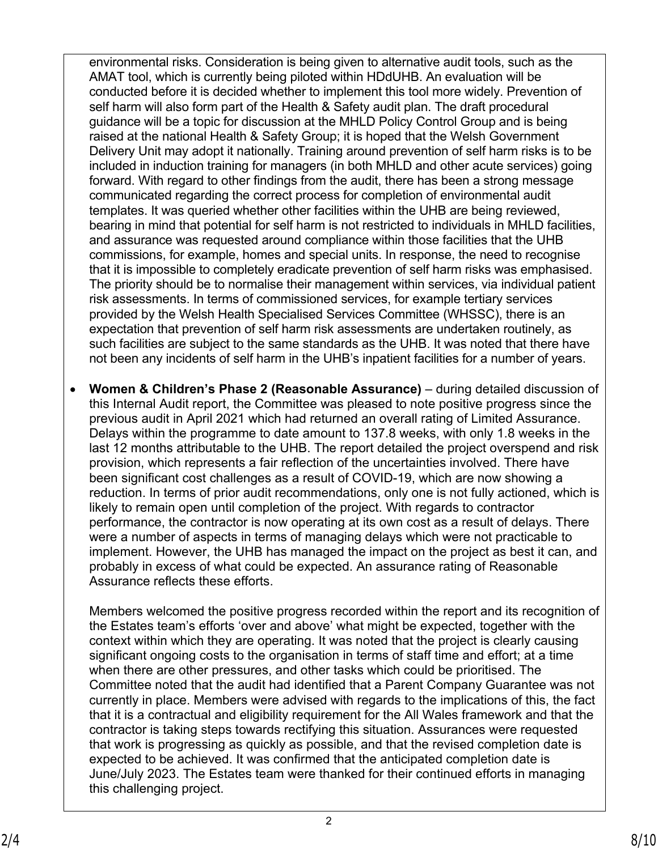environmental risks. Consideration is being given to alternative audit tools, such as the AMAT tool, which is currently being piloted within HDdUHB. An evaluation will be conducted before it is decided whether to implement this tool more widely. Prevention of self harm will also form part of the Health & Safety audit plan. The draft procedural guidance will be a topic for discussion at the MHLD Policy Control Group and is being raised at the national Health & Safety Group; it is hoped that the Welsh Government Delivery Unit may adopt it nationally. Training around prevention of self harm risks is to be included in induction training for managers (in both MHLD and other acute services) going forward. With regard to other findings from the audit, there has been a strong message communicated regarding the correct process for completion of environmental audit templates. It was queried whether other facilities within the UHB are being reviewed, bearing in mind that potential for self harm is not restricted to individuals in MHLD facilities, and assurance was requested around compliance within those facilities that the UHB commissions, for example, homes and special units. In response, the need to recognise that it is impossible to completely eradicate prevention of self harm risks was emphasised. The priority should be to normalise their management within services, via individual patient risk assessments. In terms of commissioned services, for example tertiary services provided by the Welsh Health Specialised Services Committee (WHSSC), there is an expectation that prevention of self harm risk assessments are undertaken routinely, as such facilities are subject to the same standards as the UHB. It was noted that there have not been any incidents of self harm in the UHB's inpatient facilities for a number of years.

• **Women & Children's Phase 2 (Reasonable Assurance)** – during detailed discussion of this Internal Audit report, the Committee was pleased to note positive progress since the previous audit in April 2021 which had returned an overall rating of Limited Assurance. Delays within the programme to date amount to 137.8 weeks, with only 1.8 weeks in the last 12 months attributable to the UHB. The report detailed the project overspend and risk provision, which represents a fair reflection of the uncertainties involved. There have been significant cost challenges as a result of COVID-19, which are now showing a reduction. In terms of prior audit recommendations, only one is not fully actioned, which is likely to remain open until completion of the project. With regards to contractor performance, the contractor is now operating at its own cost as a result of delays. There were a number of aspects in terms of managing delays which were not practicable to implement. However, the UHB has managed the impact on the project as best it can, and probably in excess of what could be expected. An assurance rating of Reasonable Assurance reflects these efforts.

Members welcomed the positive progress recorded within the report and its recognition of the Estates team's efforts 'over and above' what might be expected, together with the context within which they are operating. It was noted that the project is clearly causing significant ongoing costs to the organisation in terms of staff time and effort; at a time when there are other pressures, and other tasks which could be prioritised. The Committee noted that the audit had identified that a Parent Company Guarantee was not currently in place. Members were advised with regards to the implications of this, the fact that it is a contractual and eligibility requirement for the All Wales framework and that the contractor is taking steps towards rectifying this situation. Assurances were requested that work is progressing as quickly as possible, and that the revised completion date is expected to be achieved. It was confirmed that the anticipated completion date is June/July 2023. The Estates team were thanked for their continued efforts in managing this challenging project.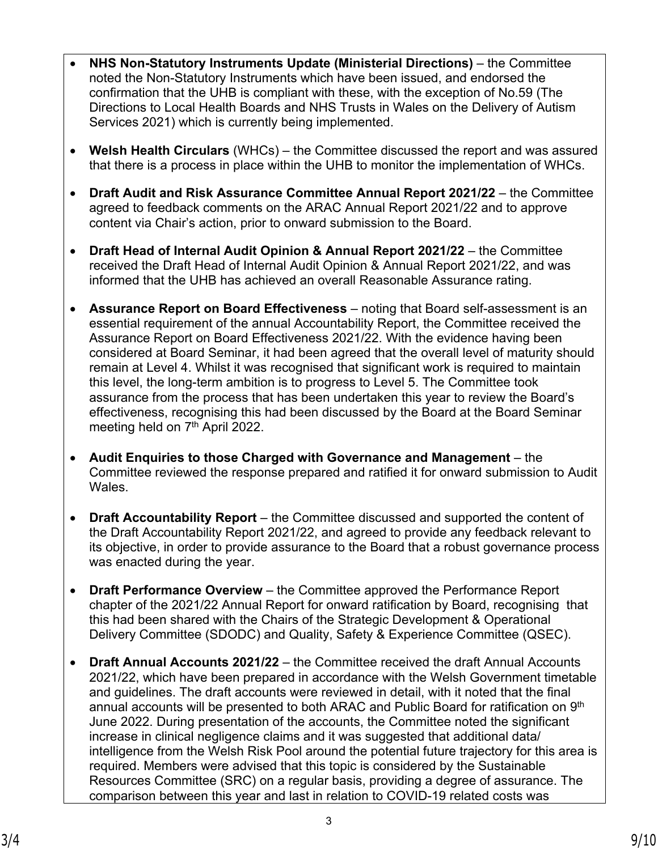- **NHS Non-Statutory Instruments Update (Ministerial Directions)** the Committee noted the Non-Statutory Instruments which have been issued, and endorsed the confirmation that the UHB is compliant with these, with the exception of No.59 (The Directions to Local Health Boards and NHS Trusts in Wales on the Delivery of Autism Services 2021) which is currently being implemented.
- **Welsh Health Circulars** (WHCs) the Committee discussed the report and was assured that there is a process in place within the UHB to monitor the implementation of WHCs.
- **Draft Audit and Risk Assurance Committee Annual Report 2021/22** the Committee agreed to feedback comments on the ARAC Annual Report 2021/22 and to approve content via Chair's action, prior to onward submission to the Board.
- **Draft Head of Internal Audit Opinion & Annual Report 2021/22**  the Committee received the Draft Head of Internal Audit Opinion & Annual Report 2021/22, and was informed that the UHB has achieved an overall Reasonable Assurance rating.
- **Assurance Report on Board Effectiveness** noting that Board self-assessment is an essential requirement of the annual Accountability Report, the Committee received the Assurance Report on Board Effectiveness 2021/22. With the evidence having been considered at Board Seminar, it had been agreed that the overall level of maturity should remain at Level 4. Whilst it was recognised that significant work is required to maintain this level, the long-term ambition is to progress to Level 5. The Committee took assurance from the process that has been undertaken this year to review the Board's effectiveness, recognising this had been discussed by the Board at the Board Seminar meeting held on 7<sup>th</sup> April 2022.
- **Audit Enquiries to those Charged with Governance and Management** the Committee reviewed the response prepared and ratified it for onward submission to Audit Wales.
- **Draft Accountability Report** the Committee discussed and supported the content of the Draft Accountability Report 2021/22, and agreed to provide any feedback relevant to its objective, in order to provide assurance to the Board that a robust governance process was enacted during the year.
- **Draft Performance Overview**  the Committee approved the Performance Report chapter of the 2021/22 Annual Report for onward ratification by Board, recognising that this had been shared with the Chairs of the Strategic Development & Operational Delivery Committee (SDODC) and Quality, Safety & Experience Committee (QSEC).
- **Draft Annual Accounts 2021/22** the Committee received the draft Annual Accounts 2021/22, which have been prepared in accordance with the Welsh Government timetable and guidelines. The draft accounts were reviewed in detail, with it noted that the final annual accounts will be presented to both ARAC and Public Board for ratification on 9<sup>th</sup> June 2022. During presentation of the accounts, the Committee noted the significant increase in clinical negligence claims and it was suggested that additional data/ intelligence from the Welsh Risk Pool around the potential future trajectory for this area is required. Members were advised that this topic is considered by the Sustainable Resources Committee (SRC) on a regular basis, providing a degree of assurance. The comparison between this year and last in relation to COVID-19 related costs was